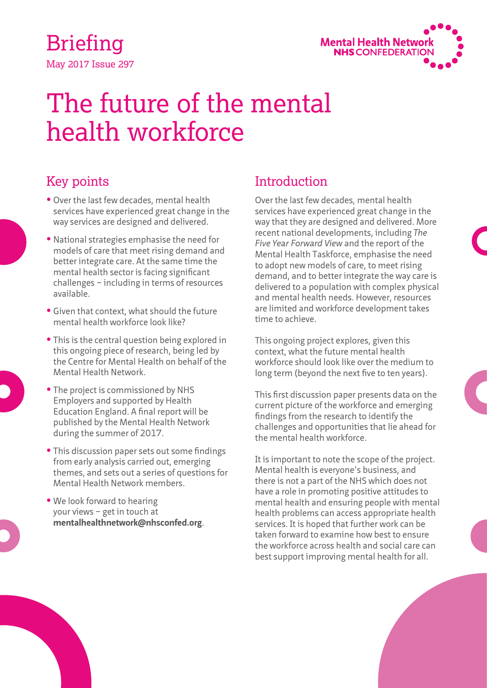May 2017 Issue 297 Briefing



# The future of the mental health workforce

## Key points

- **•** Over the last few decades, mental health services have experienced great change in the way services are designed and delivered.
- **•** National strategies emphasise the need for models of care that meet rising demand and better integrate care. At the same time the mental health sector is facing significant challenges – including in terms of resources available.
- **•** Given that context, what should the future mental health workforce look like?
- **•** This is the central question being explored in this ongoing piece of research, being led by the Centre for Mental Health on behalf of the Mental Health Network.
- **•** The project is commissioned by NHS Employers and supported by Health Education England. A final report will be published by the Mental Health Network during the summer of 2017.
- **•** This discussion paper sets out some findings from early analysis carried out, emerging themes, and sets out a series of questions for Mental Health Network members.
- **•** We look forward to hearing your views – get in touch at **mentalhealthnetwork@nhsconfed.org**.

## **Introduction**

Over the last few decades, mental health services have experienced great change in the way that they are designed and delivered. More recent national developments, including *The Five Year Forward View* and the report of the Mental Health Taskforce, emphasise the need to adopt new models of care, to meet rising demand, and to better integrate the way care is delivered to a population with complex physical and mental health needs. However, resources are limited and workforce development takes time to achieve.

This ongoing project explores, given this context, what the future mental health workforce should look like over the medium to long term (beyond the next five to ten years).

This first discussion paper presents data on the current picture of the workforce and emerging findings from the research to identify the challenges and opportunities that lie ahead for the mental health workforce.

It is important to note the scope of the project. Mental health is everyone's business, and there is not a part of the NHS which does not have a role in promoting positive attitudes to mental health and ensuring people with mental health problems can access appropriate health services. It is hoped that further work can be taken forward to examine how best to ensure the workforce across health and social care can best support improving mental health for all.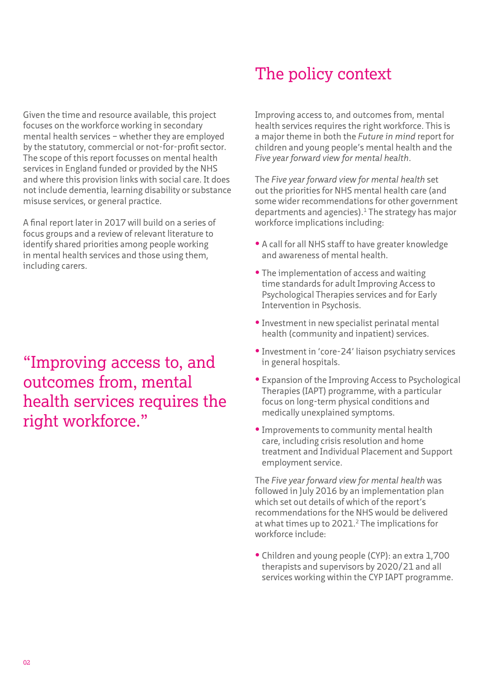Given the time and resource available, this project focuses on the workforce working in secondary mental health services – whether they are employed by the statutory, commercial or not-for-profit sector. The scope of this report focusses on mental health services in England funded or provided by the NHS and where this provision links with social care. It does not include dementia, learning disability or substance misuse services, or general practice.

A final report later in 2017 will build on a series of focus groups and a review of relevant literature to identify shared priorities among people working in mental health services and those using them, including carers.

"Improving access to, and outcomes from, mental health services requires the right workforce."

## The policy context

Improving access to, and outcomes from, mental health services requires the right workforce. This is a major theme in both the *Future in mind* report for children and young people's mental health and the *Five year forward view for mental health*.

The *Five year forward view for mental health* set out the priorities for NHS mental health care (and some wider recommendations for other government departments and agencies). $1$  The strategy has major workforce implications including:

- **•** A call for all NHS staff to have greater knowledge and awareness of mental health.
- **•** The implementation of access and waiting time standards for adult Improving Access to Psychological Therapies services and for Early Intervention in Psychosis.
- **•** Investment in new specialist perinatal mental health (community and inpatient) services.
- **•** Investment in 'core-24' liaison psychiatry services in general hospitals.
- **•** Expansion of the Improving Access to Psychological Therapies (IAPT) programme, with a particular focus on long-term physical conditions and medically unexplained symptoms.
- **•** Improvements to community mental health care, including crisis resolution and home treatment and Individual Placement and Support employment service.

The *Five year forward view for mental health* was followed in July 2016 by an implementation plan which set out details of which of the report's recommendations for the NHS would be delivered at what times up to 2021.<sup>2</sup> The implications for workforce include:

**•** Children and young people (CYP): an extra 1,700 therapists and supervisors by 2020/21 and all services working within the CYP IAPT programme.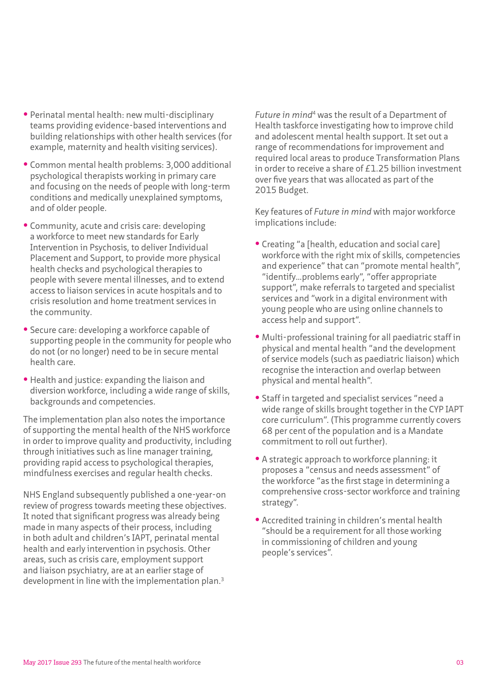- **•** Perinatal mental health: new multi-disciplinary teams providing evidence-based interventions and building relationships with other health services (for example, maternity and health visiting services).
- **•** Common mental health problems: 3,000 additional psychological therapists working in primary care and focusing on the needs of people with long-term conditions and medically unexplained symptoms, and of older people.
- **•** Community, acute and crisis care: developing a workforce to meet new standards for Early Intervention in Psychosis, to deliver Individual Placement and Support, to provide more physical health checks and psychological therapies to people with severe mental illnesses, and to extend access to liaison services in acute hospitals and to crisis resolution and home treatment services in the community.
- **•** Secure care: developing a workforce capable of supporting people in the community for people who do not (or no longer) need to be in secure mental health care.
- **•** Health and justice: expanding the liaison and diversion workforce, including a wide range of skills, backgrounds and competencies.

The implementation plan also notes the importance of supporting the mental health of the NHS workforce in order to improve quality and productivity, including through initiatives such as line manager training, providing rapid access to psychological therapies, mindfulness exercises and regular health checks.

NHS England subsequently published a one-year-on review of progress towards meeting these objectives. It noted that significant progress was already being made in many aspects of their process, including in both adult and children's IAPT, perinatal mental health and early intervention in psychosis. Other areas, such as crisis care, employment support and liaison psychiatry, are at an earlier stage of development in line with the implementation plan.3

*Future in mind*4 was the result of a Department of Health taskforce investigating how to improve child and adolescent mental health support. It set out a range of recommendations for improvement and required local areas to produce Transformation Plans in order to receive a share of £1.25 billion investment over five years that was allocated as part of the 2015 Budget.

Key features of *Future in mind* with major workforce implications include:

- **•** Creating "a [health, education and social care] workforce with the right mix of skills, competencies and experience" that can "promote mental health", "identify…problems early", "offer appropriate support", make referrals to targeted and specialist services and "work in a digital environment with young people who are using online channels to access help and support".
- **•** Multi-professional training for all paediatric staff in physical and mental health "and the development of service models (such as paediatric liaison) which recognise the interaction and overlap between physical and mental health".
- **•** Staff in targeted and specialist services "need a wide range of skills brought together in the CYP IAPT core curriculum". (This programme currently covers 68 per cent of the population and is a Mandate commitment to roll out further).
- **•** A strategic approach to workforce planning: it proposes a "census and needs assessment" of the workforce "as the first stage in determining a comprehensive cross-sector workforce and training strategy".
- **•** Accredited training in children's mental health "should be a requirement for all those working in commissioning of children and young people's services".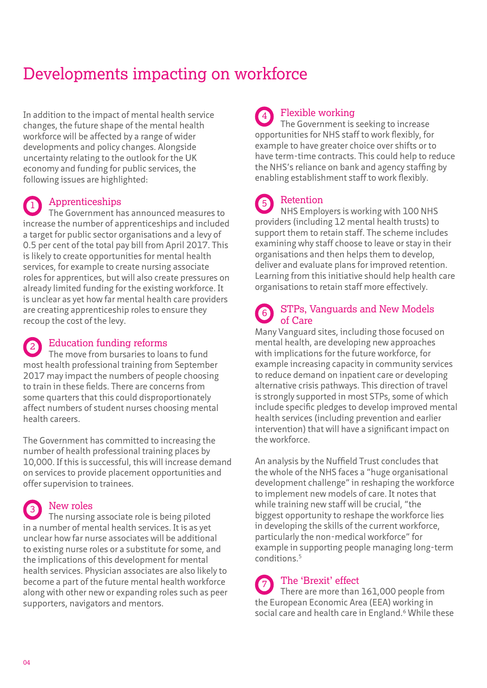## Developments impacting on workforce

In addition to the impact of mental health service changes, the future shape of the mental health workforce will be affected by a range of wider developments and policy changes. Alongside uncertainty relating to the outlook for the UK economy and funding for public services, the following issues are highlighted:

## Apprenticeships

The Government has announced measures to increase the number of apprenticeships and included a target for public sector organisations and a levy of 0.5 per cent of the total pay bill from April 2017. This is likely to create opportunities for mental health services, for example to create nursing associate roles for apprentices, but will also create pressures on already limited funding for the existing workforce. It is unclear as yet how far mental health care providers are creating apprenticeship roles to ensure they recoup the cost of the levy. 1

## Education funding reforms

The move from bursaries to loans to fund most health professional training from September 2017 may impact the numbers of people choosing to train in these fields. There are concerns from some quarters that this could disproportionately affect numbers of student nurses choosing mental health careers. 2

The Government has committed to increasing the number of health professional training places by 10,000. If this is successful, this will increase demand on services to provide placement opportunities and offer supervision to trainees.

### New roles

The nursing associate role is being piloted in a number of mental health services. It is as yet unclear how far nurse associates will be additional to existing nurse roles or a substitute for some, and the implications of this development for mental health services. Physician associates are also likely to become a part of the future mental health workforce along with other new or expanding roles such as peer supporters, navigators and mentors. 3

#### Flexible working 4

The Government is seeking to increase opportunities for NHS staff to work flexibly, for example to have greater choice over shifts or to have term-time contracts. This could help to reduce the NHS's reliance on bank and agency staffing by enabling establishment staff to work flexibly.

#### Retention 5

NHS Employers is working with 100 NHS providers (including 12 mental health trusts) to support them to retain staff. The scheme includes examining why staff choose to leave or stay in their organisations and then helps them to develop, deliver and evaluate plans for improved retention. Learning from this initiative should help health care organisations to retain staff more effectively.

#### STPs, Vanguards and New Models of Care 6

Many Vanguard sites, including those focused on mental health, are developing new approaches with implications for the future workforce, for example increasing capacity in community services to reduce demand on inpatient care or developing alternative crisis pathways. This direction of travel is strongly supported in most STPs, some of which include specific pledges to develop improved mental health services (including prevention and earlier intervention) that will have a significant impact on the workforce.

An analysis by the Nuffield Trust concludes that the whole of the NHS faces a "huge organisational development challenge" in reshaping the workforce to implement new models of care. It notes that while training new staff will be crucial, "the biggest opportunity to reshape the workforce lies in developing the skills of the current workforce, particularly the non-medical workforce" for example in supporting people managing long-term conditions.5

#### The 'Brexit' effect There are more than 161,000 people from the European Economic Area (EEA) working in social care and health care in England.<sup>6</sup> While these 7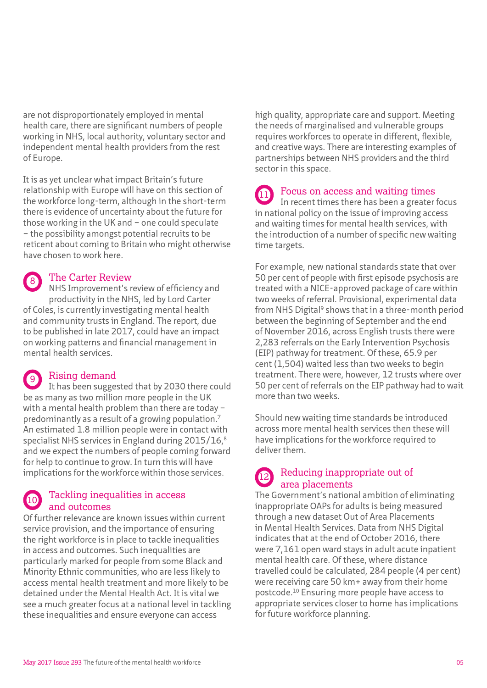are not disproportionately employed in mental health care, there are significant numbers of people working in NHS, local authority, voluntary sector and independent mental health providers from the rest of Europe.

It is as yet unclear what impact Britain's future relationship with Europe will have on this section of the workforce long-term, although in the short-term there is evidence of uncertainty about the future for those working in the UK and – one could speculate – the possibility amongst potential recruits to be reticent about coming to Britain who might otherwise have chosen to work here.

### The Carter Review

NHS Improvement's review of efficiency and productivity in the NHS, led by Lord Carter of Coles, is currently investigating mental health and community trusts in England. The report, due to be published in late 2017, could have an impact on working patterns and financial management in mental health services. 8

## Rising demand

It has been suggested that by 2030 there could be as many as two million more people in the UK with a mental health problem than there are today – predominantly as a result of a growing population.7 An estimated 1.8 million people were in contact with specialist NHS services in England during 2015/16,<sup>8</sup> and we expect the numbers of people coming forward for help to continue to grow. In turn this will have implications for the workforce within those services. 9

#### Tackling inequalities in access and outcomes 10

Of further relevance are known issues within current service provision, and the importance of ensuring the right workforce is in place to tackle inequalities in access and outcomes. Such inequalities are particularly marked for people from some Black and Minority Ethnic communities, who are less likely to access mental health treatment and more likely to be detained under the Mental Health Act. It is vital we see a much greater focus at a national level in tackling these inequalities and ensure everyone can access

high quality, appropriate care and support. Meeting the needs of marginalised and vulnerable groups requires workforces to operate in different, flexible, and creative ways. There are interesting examples of partnerships between NHS providers and the third sector in this space.

#### Focus on access and waiting times 11

In recent times there has been a greater focus in national policy on the issue of improving access and waiting times for mental health services, with the introduction of a number of specific new waiting time targets.

For example, new national standards state that over 50 per cent of people with first episode psychosis are treated with a NICE-approved package of care within two weeks of referral. Provisional, experimental data from NHS Digital<sup>9</sup> shows that in a three-month period between the beginning of September and the end of November 2016, across English trusts there were 2,283 referrals on the Early Intervention Psychosis (EIP) pathway for treatment. Of these, 65.9 per cent (1,504) waited less than two weeks to begin treatment. There were, however, 12 trusts where over 50 per cent of referrals on the EIP pathway had to wait more than two weeks.

Should new waiting time standards be introduced across more mental health services then these will have implications for the workforce required to deliver them.

#### Reducing inappropriate out of area placements 12

The Government's national ambition of eliminating inappropriate OAPs for adults is being measured through a new dataset Out of Area Placements in Mental Health Services. Data from NHS Digital indicates that at the end of October 2016, there were 7,161 open ward stays in adult acute inpatient mental health care. Of these, where distance travelled could be calculated, 284 people (4 per cent) were receiving care 50 km+ away from their home postcode.10 Ensuring more people have access to appropriate services closer to home has implications for future workforce planning.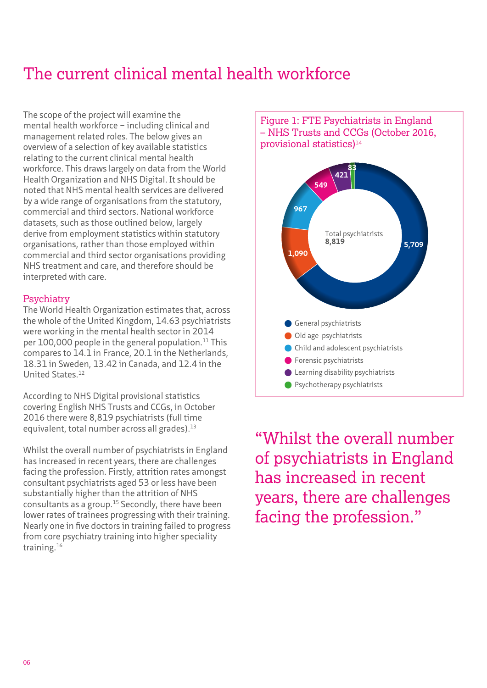## The current clinical mental health workforce

The scope of the project will examine the mental health workforce – including clinical and management related roles. The below gives an overview of a selection of key available statistics relating to the current clinical mental health workforce. This draws largely on data from the World Health Organization and NHS Digital. It should be noted that NHS mental health services are delivered by a wide range of organisations from the statutory, commercial and third sectors. National workforce datasets, such as those outlined below, largely derive from employment statistics within statutory organisations, rather than those employed within commercial and third sector organisations providing NHS treatment and care, and therefore should be interpreted with care.

### **Psychiatry**

The World Health Organization estimates that, across the whole of the United Kingdom, 14.63 psychiatrists were working in the mental health sector in 2014 per  $100,000$  people in the general population.<sup>11</sup> This compares to 14.1 in France, 20.1 in the Netherlands, 18.31 in Sweden, 13.42 in Canada, and 12.4 in the United States.12

According to NHS Digital provisional statistics covering English NHS Trusts and CCGs, in October 2016 there were 8,819 psychiatrists (full time equivalent, total number across all grades).13

Whilst the overall number of psychiatrists in England has increased in recent years, there are challenges facing the profession. Firstly, attrition rates amongst consultant psychiatrists aged 53 or less have been substantially higher than the attrition of NHS consultants as a group.15 Secondly, there have been lower rates of trainees progressing with their training. Nearly one in five doctors in training failed to progress from core psychiatry training into higher speciality training.16



"Whilst the overall number of psychiatrists in England has increased in recent years, there are challenges facing the profession."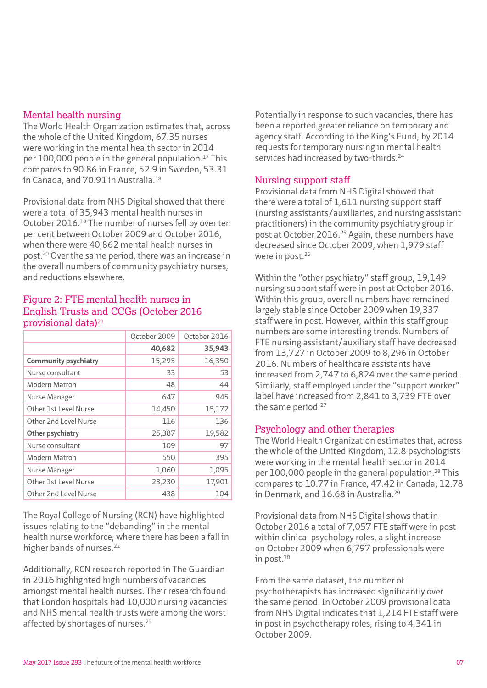## Mental health nursing

The World Health Organization estimates that, across the whole of the United Kingdom, 67.35 nurses were working in the mental health sector in 2014 per 100,000 people in the general population.<sup>17</sup> This compares to 90.86 in France, 52.9 in Sweden, 53.31 in Canada, and 70.91 in Australia.<sup>18</sup>

Provisional data from NHS Digital showed that there were a total of 35,943 mental health nurses in October 2016.19 The number of nurses fell by over ten per cent between October 2009 and October 2016, when there were 40,862 mental health nurses in post.20 Over the same period, there was an increase in the overall numbers of community psychiatry nurses, and reductions elsewhere.

### Figure 2: FTE mental health nurses in English Trusts and CCGs (October 2016 provisional data)<sup>21</sup>

|                             | October 2009 | October 2016 |
|-----------------------------|--------------|--------------|
|                             | 40,682       | 35,943       |
| <b>Community psychiatry</b> | 15,295       | 16,350       |
| Nurse consultant            | 33           | 53           |
| Modern Matron               | 48           | 44           |
| Nurse Manager               | 647          | 945          |
| Other 1st Level Nurse       | 14,450       | 15,172       |
| Other 2nd Level Nurse       | 116          | 136          |
| <b>Other psychiatry</b>     | 25,387       | 19,582       |
| Nurse consultant            | 109          | 97           |
| Modern Matron               | 550          | 395          |
| Nurse Manager               | 1,060        | 1,095        |
| Other 1st Level Nurse       | 23,230       | 17,901       |
| Other 2nd Level Nurse       | 438          | 104          |

The Royal College of Nursing (RCN) have highlighted issues relating to the "debanding" in the mental health nurse workforce, where there has been a fall in higher bands of nurses.<sup>22</sup>

Additionally, RCN research reported in The Guardian in 2016 highlighted high numbers of vacancies amongst mental health nurses. Their research found that London hospitals had 10,000 nursing vacancies and NHS mental health trusts were among the worst affected by shortages of nurses.<sup>23</sup>

Potentially in response to such vacancies, there has been a reported greater reliance on temporary and agency staff. According to the King's Fund, by 2014 requests for temporary nursing in mental health services had increased by two-thirds.<sup>24</sup>

## Nursing support staff

Provisional data from NHS Digital showed that there were a total of 1,611 nursing support staff (nursing assistants/auxiliaries, and nursing assistant practitioners) in the community psychiatry group in post at October 2016.25 Again, these numbers have decreased since October 2009, when 1,979 staff were in post.<sup>26</sup>

Within the "other psychiatry" staff group, 19,149 nursing support staff were in post at October 2016. Within this group, overall numbers have remained largely stable since October 2009 when 19,337 staff were in post. However, within this staff group numbers are some interesting trends. Numbers of FTE nursing assistant/auxiliary staff have decreased from 13,727 in October 2009 to 8,296 in October 2016. Numbers of healthcare assistants have increased from 2,747 to 6,824 over the same period. Similarly, staff employed under the "support worker" label have increased from 2,841 to 3,739 FTE over the same period.<sup>27</sup>

## Psychology and other therapies

The World Health Organization estimates that, across the whole of the United Kingdom, 12.8 psychologists were working in the mental health sector in 2014 per 100,000 people in the general population.28 This compares to 10.77 in France, 47.42 in Canada, 12.78 in Denmark, and 16.68 in Australia.<sup>29</sup>

Provisional data from NHS Digital shows that in October 2016 a total of 7,057 FTE staff were in post within clinical psychology roles, a slight increase on October 2009 when 6,797 professionals were in post.30

From the same dataset, the number of psychotherapists has increased significantly over the same period. In October 2009 provisional data from NHS Digital indicates that 1,214 FTE staff were in post in psychotherapy roles, rising to 4,341 in October 2009.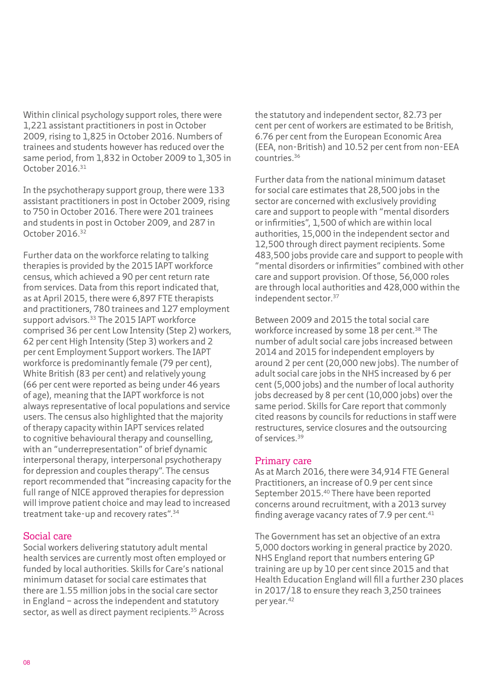Within clinical psychology support roles, there were 1,221 assistant practitioners in post in October 2009, rising to 1,825 in October 2016. Numbers of trainees and students however has reduced over the same period, from 1,832 in October 2009 to 1,305 in October 2016.31

In the psychotherapy support group, there were 133 assistant practitioners in post in October 2009, rising to 750 in October 2016. There were 201 trainees and students in post in October 2009, and 287 in October 2016.32

Further data on the workforce relating to talking therapies is provided by the 2015 IAPT workforce census, which achieved a 90 per cent return rate from services. Data from this report indicated that, as at April 2015, there were 6,897 FTE therapists and practitioners, 780 trainees and 127 employment support advisors.<sup>33</sup> The 2015 IAPT workforce comprised 36 per cent Low Intensity (Step 2) workers, 62 per cent High Intensity (Step 3) workers and 2 per cent Employment Support workers. The IAPT workforce is predominantly female (79 per cent), White British (83 per cent) and relatively young (66 per cent were reported as being under 46 years of age), meaning that the IAPT workforce is not always representative of local populations and service users. The census also highlighted that the majority of therapy capacity within IAPT services related to cognitive behavioural therapy and counselling, with an "underrepresentation" of brief dynamic interpersonal therapy, interpersonal psychotherapy for depression and couples therapy". The census report recommended that "increasing capacity for the full range of NICE approved therapies for depression will improve patient choice and may lead to increased treatment take-up and recovery rates".34

### Social care

Social workers delivering statutory adult mental health services are currently most often employed or funded by local authorities. Skills for Care's national minimum dataset for social care estimates that there are 1.55 million jobs in the social care sector in England – across the independent and statutory sector, as well as direct payment recipients.<sup>35</sup> Across

the statutory and independent sector, 82.73 per cent per cent of workers are estimated to be British, 6.76 per cent from the European Economic Area (EEA, non-British) and 10.52 per cent from non-EEA countries.36

Further data from the national minimum dataset for social care estimates that 28,500 jobs in the sector are concerned with exclusively providing care and support to people with "mental disorders or infirmities", 1,500 of which are within local authorities, 15,000 in the independent sector and 12,500 through direct payment recipients. Some 483,500 jobs provide care and support to people with "mental disorders or infirmities" combined with other care and support provision. Of those, 56,000 roles are through local authorities and 428,000 within the independent sector.37

Between 2009 and 2015 the total social care workforce increased by some 18 per cent.<sup>38</sup> The number of adult social care jobs increased between 2014 and 2015 for independent employers by around 2 per cent (20,000 new jobs). The number of adult social care jobs in the NHS increased by 6 per cent (5,000 jobs) and the number of local authority jobs decreased by 8 per cent (10,000 jobs) over the same period. Skills for Care report that commonly cited reasons by councils for reductions in staff were restructures, service closures and the outsourcing of services.39

### Primary care

As at March 2016, there were 34,914 FTE General Practitioners, an increase of 0.9 per cent since September 2015.40 There have been reported concerns around recruitment, with a 2013 survey finding average vacancy rates of  $7.9$  per cent.<sup>41</sup>

The Government has set an objective of an extra 5,000 doctors working in general practice by 2020. NHS England report that numbers entering GP training are up by 10 per cent since 2015 and that Health Education England will fill a further 230 places in 2017/18 to ensure they reach 3,250 trainees per year.42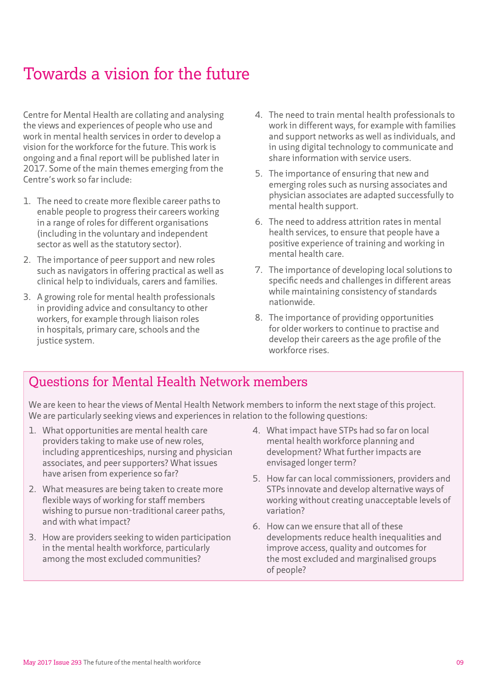## Towards a vision for the future

Centre for Mental Health are collating and analysing the views and experiences of people who use and work in mental health services in order to develop a vision for the workforce for the future. This work is ongoing and a final report will be published later in 2017. Some of the main themes emerging from the Centre's work so far include:

- 1. The need to create more flexible career paths to enable people to progress their careers working in a range of roles for different organisations (including in the voluntary and independent sector as well as the statutory sector).
- 2. The importance of peer support and new roles such as navigators in offering practical as well as clinical help to individuals, carers and families.
- 3. A growing role for mental health professionals in providing advice and consultancy to other workers, for example through liaison roles in hospitals, primary care, schools and the justice system.
- 4. The need to train mental health professionals to work in different ways, for example with families and support networks as well as individuals, and in using digital technology to communicate and share information with service users.
- 5. The importance of ensuring that new and emerging roles such as nursing associates and physician associates are adapted successfully to mental health support.
- 6. The need to address attrition rates in mental health services, to ensure that people have a positive experience of training and working in mental health care.
- 7. The importance of developing local solutions to specific needs and challenges in different areas while maintaining consistency of standards nationwide.
- 8. The importance of providing opportunities for older workers to continue to practise and develop their careers as the age profile of the workforce rises.

## Questions for Mental Health Network members

We are keen to hear the views of Mental Health Network members to inform the next stage of this project. We are particularly seeking views and experiences in relation to the following questions:

- 1. What opportunities are mental health care providers taking to make use of new roles, including apprenticeships, nursing and physician associates, and peer supporters? What issues have arisen from experience so far?
- 2. What measures are being taken to create more flexible ways of working for staff members wishing to pursue non-traditional career paths, and with what impact?
- 3. How are providers seeking to widen participation in the mental health workforce, particularly among the most excluded communities?
- 4. What impact have STPs had so far on local mental health workforce planning and development? What further impacts are envisaged longer term?
- 5. How far can local commissioners, providers and STPs innovate and develop alternative ways of working without creating unacceptable levels of variation?
- 6. How can we ensure that all of these developments reduce health inequalities and improve access, quality and outcomes for the most excluded and marginalised groups of people?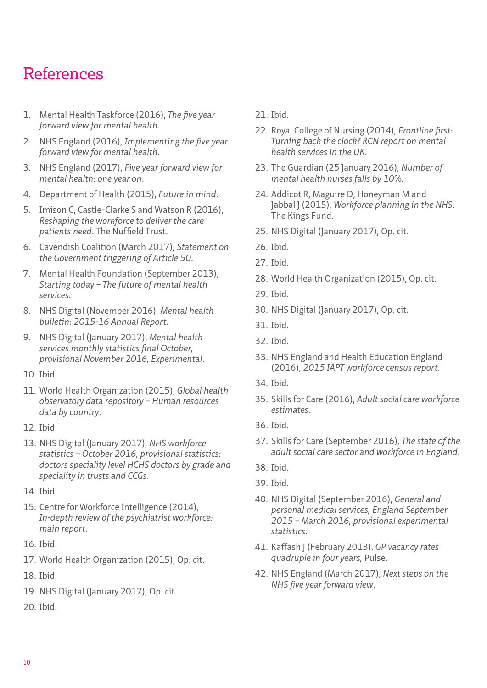## References

- 1. Mental Health Taskforce (2016), *[The five year](https://www.england.nhs.uk/wp-content/uploads/2016/02/Mental-Health-Taskforce-FYFV-final.pdf)  [forward view for mental health](https://www.england.nhs.uk/wp-content/uploads/2016/02/Mental-Health-Taskforce-FYFV-final.pdf)*.
- 2. NHS England (2016), *[Implementing the five year](https://www.england.nhs.uk/mental-health/taskforce/imp/)  [forward view for mental health](https://www.england.nhs.uk/mental-health/taskforce/imp/)*.
- 3. NHS England (2017), *[Five year forward view for](https://www.england.nhs.uk/wp-content/uploads/2017/03/fyfv-mh-one-year-on.pdf)  [mental health: one year on](https://www.england.nhs.uk/wp-content/uploads/2017/03/fyfv-mh-one-year-on.pdf)*.
- 4. Department of Health (2015), *[Future in mind](https://www.gov.uk/government/publications/improving-mental-health-services-for-young-people)*.
- 5. Imison C, Castle-Clarke S and Watson R (2016), *Reshaping the workforce to deliver the care patients need*. The Nuffield Trust.
- 6. Cavendish Coalition (March 2017), *[Statement on](http://www.nhsemployers.org/~/media/Employers/Documents/Cavendish%20Coalition/A50%20statement%20-%20Cavendish.pdf)  [the Government triggering of Article 50](http://www.nhsemployers.org/~/media/Employers/Documents/Cavendish%20Coalition/A50%20statement%20-%20Cavendish.pdf)*.
- 7. Mental Health Foundation (September 2013), *Starting today – The future of mental health services.*
- 8. NHS Digital (November 2016), *[Mental health](http://www.content.digital.nhs.uk/catalogue/PUB22561)  [bulletin: 2015-16 Annual Report](http://www.content.digital.nhs.uk/catalogue/PUB22561)*.
- 9. NHS Digital (January 2017). *[Mental health](http://content.digital.nhs.uk/catalogue/PUB23196)  [services monthly statistics final October,](http://content.digital.nhs.uk/catalogue/PUB23196)  [provisional November 2016, Experimental](http://content.digital.nhs.uk/catalogue/PUB23196)*.
- 10. Ibid.
- 11. World Health Organization (2015), *[Global health](http://apps.who.int/gho/data/node.main.MHHR?lang=en)  [observatory data repository – Human resources](http://apps.who.int/gho/data/node.main.MHHR?lang=en)  [data by country](http://apps.who.int/gho/data/node.main.MHHR?lang=en)*.
- 12. Ibid.
- 13. NHS Digital (January 2017), *[NHS workforce](http://content.digital.nhs.uk/searchcatalogue?productid=24139&returnid=1907)  [statistics – October 2016, provisional statistics:](http://content.digital.nhs.uk/searchcatalogue?productid=24139&returnid=1907)  [doctors speciality level HCHS doctors by grade and](http://content.digital.nhs.uk/searchcatalogue?productid=24139&returnid=1907)  [speciality in trusts and CCGs](http://content.digital.nhs.uk/searchcatalogue?productid=24139&returnid=1907)*.
- 14. Ibid.
- 15. Centre for Workforce Intelligence (2014), *[In-depth review of the psychiatrist workforce:](https://www.gov.uk/government/uploads/system/uploads/attachment_data/file/507557/CfWI_Psychiatrist_in-depth_review.pdf)  [main report](https://www.gov.uk/government/uploads/system/uploads/attachment_data/file/507557/CfWI_Psychiatrist_in-depth_review.pdf)*.
- 16. Ibid.
- 17. World Health Organization (2015), Op. cit.
- 18. Ibid.
- 19. NHS Digital (January 2017), Op. cit.
- 20. Ibid.
- 21. Ibid.
- 22. Royal College of Nursing (2014), *[Frontline first:](https://www2.rcn.org.uk/__data/assets/pdf_file/0004/600628/004772.pdf)  [Turning back the clock? RCN report on mental](https://www2.rcn.org.uk/__data/assets/pdf_file/0004/600628/004772.pdf)  [health services in the UK](https://www2.rcn.org.uk/__data/assets/pdf_file/0004/600628/004772.pdf)*.
- 23. The Guardian (25 January 2016), *[Number of](https://www.theguardian.com/society/2016/jan/25/number-of-mental-health-nurses-falls-10)  [mental health nurses falls by 10%](https://www.theguardian.com/society/2016/jan/25/number-of-mental-health-nurses-falls-10).*
- 24. Addicot R, Maguire D, Honeyman M and Jabbal J (2015), *Workforce planning in the NHS*. The Kings Fund.
- 25. NHS Digital (January 2017), Op. cit.
- 26. Ibid.
- 27. Ibid.
- 28. World Health Organization (2015), Op. cit.
- 29. Ibid.
- 30. NHS Digital (January 2017), Op. cit.
- 31. Ibid.
- 32. Ibid.
- 33. NHS England and Health Education England (2016), *[2015 IAPT workforce census report](https://www.england.nhs.uk/mentalhealth/wp-content/uploads/sites/29/2016/09/adult-iapt-workforce-census-report-15.pdf)*.
- 34. Ibid.
- 35. Skills for Care (2016), *[Adult social care workforce](https://www.nmds-sc-online.org.uk/content/view.aspx?id=Adult%20social%20care%20workforce%20reports%20-%20estimates)  [estimates](https://www.nmds-sc-online.org.uk/content/view.aspx?id=Adult%20social%20care%20workforce%20reports%20-%20estimates)*.
- 36. Ibid.
- 37. Skills for Care (September 2016), *[The state of the](https://www.nmds-sc-online.org.uk/Get.aspx?id=999138)  [adult social care sector and workforce in England](https://www.nmds-sc-online.org.uk/Get.aspx?id=999138)*.
- 38. Ibid.
- 39. Ibid.
- 40. NHS Digital (September 2016), *[General and](http://content.digital.nhs.uk/catalogue/PUB21772)  [personal medical services, England September](http://content.digital.nhs.uk/catalogue/PUB21772)  [2015 – March 2016, provisional experimental](http://content.digital.nhs.uk/catalogue/PUB21772)  [statistics](http://content.digital.nhs.uk/catalogue/PUB21772)*.
- 41. Kaffash J (February 2013). *[GP vacancy rates](http://www.pulsetoday.co.uk/your-practice/practice-topics/employment/gp-vacancy-rates-quadruple-in-twoyears/20002034.article#.VS5l9U1FCHs)  [quadruple in four years,](http://www.pulsetoday.co.uk/your-practice/practice-topics/employment/gp-vacancy-rates-quadruple-in-twoyears/20002034.article#.VS5l9U1FCHs)* Pulse.
- 42. NHS England (March 2017), *[Next steps on the](https://www.england.nhs.uk/wp-content/uploads/2017/03/NEXT-STEPS-ON-THE-NHS-FIVE-YEAR-FORWARD-VIEW.pdf)  [NHS five year forward view](https://www.england.nhs.uk/wp-content/uploads/2017/03/NEXT-STEPS-ON-THE-NHS-FIVE-YEAR-FORWARD-VIEW.pdf)*.